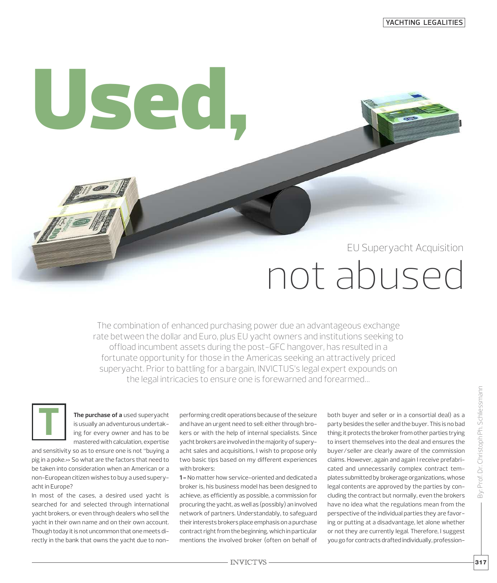## EU Superyacht Acquisition

# not abused

The combination of enhanced purchasing power due an advantageous exchange rate between the dollar and Euro, plus EU yacht owners and institutions seeking to offload incumbent assets during the post-GFC hangover, has resulted in a fortunate opportunity for those in the Americas seeking an attractively priced superyacht. Prior to battling for a bargain, INVICTUS's legal expert expounds on the legal intricacies to ensure one is forewarned and forearmed…

**T**

**The purchase of a** used superyacht is usually an adventurous undertaking for every owner and has to be masteredwith calculation, expertise

**Used,**

and sensitivity so as to ensure one is not "buying a pig in a poke.» So what are the factors that need to be taken into consideration when an American or a non-European citizen wishes to buy a used superyacht in Europe?

In most of the cases, a desired used yacht is searched for and selected through international yacht brokers, or even through dealers who sell the yacht in their own name and on their own account. Though today it is not uncommon that one meets directly in the bank that owns the yacht due to nonperforming credit operations because of the seizure and have an urgent need to sell: either through brokers or with the help of internal specialists. Since yacht brokers are involved in the majority of superyacht sales and acquisitions, I wish to propose only two basic tips based on my different experiences with brokers:

**1 -** No matter how service-oriented and dedicated a broker is, his business model has been designed to achieve, as efficiently as possible, a commission for procuring the yacht, as well as (possibly) an involved network of partners. Understandably, to safeguard their interests brokers place emphasis on a purchase contract right from the beginning, which in particular mentions the involved broker (often on behalf of both buyer and seller or in a consortial deal) as a party besides the seller and the buyer. This is no bad thing; it protects the broker from other parties trying to insert themselves into the deal and ensures the buyer/seller are clearly aware of the commission claims. However, again and again I receive prefabricated and unnecessarily complex contract templates submitted by brokerage organizations, whose legal contents are approved by the parties by concluding the contract but normally, even the brokers have no idea what the regulations mean from the perspective of the individual parties they are favoring or putting at a disadvantage, let alone whether or not they are currently legal. Therefore, I suggest you go for contracts drafted individually, profession-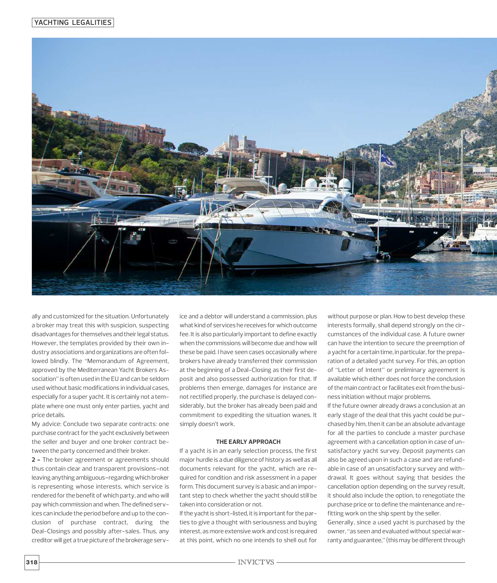

ally and customized for the situation. Unfortunately a broker may treat this with suspicion, suspecting disadvantages for themselves and their legal status. However, the templates provided by their own industry associations and organizations are often followed blindly. The "Memorandum of Agreement, approved by the Mediterranean Yacht Brokers Association" is often used in the EU and can be seldom used without basic modifications in individual cases, especially for a super yacht. It is certainly not a template where one must only enter parties, yacht and price details.

My advice: Conclude two separate contracts: one purchase contract for the yacht exclusively between the seller and buyer and one broker contract between the party concerned and their broker.

**2 -** The broker agreement or agreements should thus contain clear and transparent provisions–not leaving anything ambiguous-regarding which broker is representing whose interests, which service is rendered for the benefit of which party, and who will paywhich commission andwhen. The defined services can include the period before and up to the conclusion of purchase contract, during the Deal-Closings and possibly after-sales. Thus, any creditor will get a true picture of the brokerage service and a debtor will understand a commission, plus what kind of services he receives for which outcome fee. It is also particularly important to define exactly when the commissions will become due and how will these be paid. I have seen cases occasionally where brokers have already transferred their commission at the beginning of a Deal-Closing as their first deposit and also possessed authorization for that. If problems then emerge, damages for instance are not rectified properly, the purchase is delayed considerably, but the broker has already been paid and commitment to expediting the situation wanes. It simply doesn't work.

#### **THE EARLY APPROACH**

If a yacht is in an early selection process, the first major hurdle is a due diligence of history as well as all documents relevant for the yacht, which are required for condition and risk assessment in a paper form. This document survey is a basic and an important step to check whether the yacht should still be taken into consideration or not.

If the vacht is short-listed, it is important for the parties to give a thought with seriousness and buying interest, as more extensive work and cost is required at this point, which no one intends to shell out for without purpose or plan. How to best develop these interests formally, shall depend strongly on the circumstances of the individual case. A future owner can have the intention to secure the preemption of a yacht for a certain time, in particular, for the preparation of a detailed yacht survey. For this, an option of "Letter of Intent" or preliminary agreement is available which either does not force the conclusion of the main contract or facilitates exit from the business initiation without major problems.

If the future owner already draws a conclusion at an early stage of the deal that this yacht could be purchased by him, then it can be an absolute advantage for all the parties to conclude a master purchase agreement with a cancellation option in case of unsatisfactory yacht survey. Deposit payments can also be agreed upon in such a case and are refundable in case of an unsatisfactory survey and withdrawal. It goes without saying that besides the cancellation option depending on the survey result, it should also include the option, to renegotiate the purchase price or to define the maintenance and refitting work on the ship spent by the seller.

Generally, since a used yacht is purchased by the owner, "as seen and evaluated without special warranty and guarantee," (this may be different through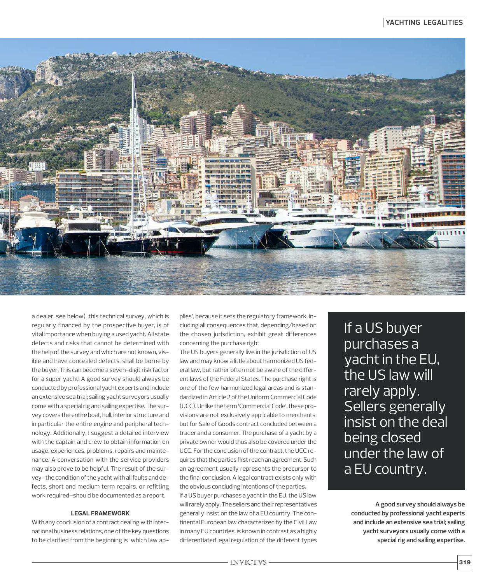

a dealer, see below) this technical survey, which is regularly financed by the prospective buyer, is of vital importance when buying a used yacht. All state defects and risks that cannot be determined with the help of the survey and which are not known, visible and have concealed defects, shall be borne by the buyer. This can become a seven-digit risk factor for a super yacht! A good survey should always be conducted by professional yacht experts and include an extensive sea trial; sailing yacht surveyors usually come with a special rig and sailing expertise. The survey covers the entire boat, hull, interior structure and in particular the entire engine and peripheral technology. Additionally, I suggest a detailed interview with the captain and crew to obtain information on usage, experiences, problems, repairs and maintenance. A conversation with the service providers may also prove to be helpful. The result of the survey-the condition of the yacht with all faults and defects, short and medium term repairs, or refitting work required–should be documented as a report.

#### **LEGAL FRAMEWORK**

With any conclusion of a contract dealing with international business relations, one of the key questions to be clarified from the beginning is 'which law applies', because it sets the regulatory framework, including all consequences that, depending/based on the chosen jurisdiction, exhibit great differences concerning the purchase right

The US buyers generally live in the jurisdiction of US law and may know a little about harmonized US federal law, but rather often not be aware of the different laws of the Federal States. The purchase right is one of the few harmonized legal areas and is standardized in Article 2 of the Uniform Commercial Code (UCC). Unlike the term 'Commercial Code', these provisions are not exclusively applicable to merchants, but for Sale of Goods contract concluded between a trader and a consumer. The purchase of a yacht by a private owner would thus also be covered under the UCC. For the conclusion of the contract, the UCC requires that the parties first reach an agreement. Such an agreement usually represents the precursor to the final conclusion. A legal contract exists only with the obvious concluding intentions of the parties.

If a US buyer purchases a yacht in the EU, the US law will rarely apply. The sellers and their representatives generally insist on the law of a EU country. The continental European law characterized by the Civil Law in many EU countries, is known in contrast as a highly differentiated legal regulation of the different types If a US buyer purchases a yacht in the EU, the US law will rarely apply. Sellers generally insist on the deal being closed under the law of a EU country.

**A good survey should always be conducted by professional yacht experts and include an extensive sea trial; sailing yacht surveyors usually come with a specialrig and sailing expertise.**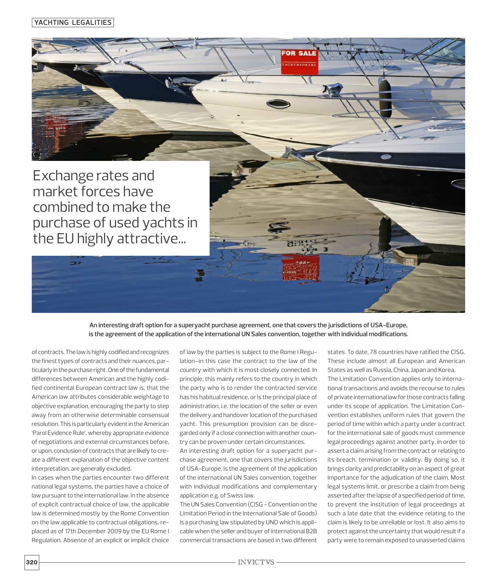**YACHTING LEGALITIES**



combined to make the purchase of used yachts in the EU highly attractive...

> An interesting draft option for a superyacht purchase agreement, one that covers the jurisdictions of USA-Europe, **is the agreement ofthe application ofthe international UN Sales convention,together with individual modifications.**

of contracts. The law is highly codified and recognizes the finest types of contracts and their nuances, particularly in the purchase right. One of the fundamental differences between American and the highly codified continental European contract law is, that the American law attributes considerable weightage to objective explanation, encouraging the party to step away from an otherwise determinable consensual resolution.This is particularlyevidentin theAmerican 'Parol Evidence Rule', whereby appropriate evidence of negotiations and external circumstances before, or upon, conclusion of contracts that are likely to create a different explanation of the objective content interpretation, are generally excluded.

In cases when the parties encounter two different national legal systems, the parties have a choice of law pursuant to the international law. In the absence of explicit contractual choice of law, the applicable law is determined mostly by the Rome Convention on the law applicable to contractual obligations, replaced as of 17th December 2009 by the EU Rome I Regulation. Absence of an explicit or implicit choice

of law by the parties is subject to the Rome I Regulation–in this case the contract to the law of the country with which it is most closely connected. In principle, this mainly refers to the country in which the party who is to render the contracted service has his habitual residence, or is the principal place of administration, i.e. the location of the seller or even the delivery and handover location of the purchased yacht. This presumption provision can be disregarded only if a close connection with another country can be proven under certain circumstances.

An interesting draft option for a superyacht purchase agreement, one that covers the jurisdictions of USA-Europe, is the agreement of the application of the international UN Sales convention, together with individual modifications and complementary application e.g. of Swiss law.

The UN Sales Convention (CISG - Convention on the Limitation Period in the International Sale of Goods) is a purchasing law stipulated by UNO which is applicable when the seller and buyer of international B2B commercial transactions are based in two different states. To date, 78 countries have ratified the CISG. These include almost all European and American States as well as Russia, China, Japan and Korea. The Limitation Convention applies only to international transactions and avoids the recourse to rules of private international law for those contracts falling under its scope of application. The Limitation Convention establishes uniform rules that govern the period of time within which a party under a contract for the international sale of goods must commence legal proceedings against another party, in order to assert a claim arising from the contract or relating to its breach, termination or validity. By doing so, it brings clarity and predictability on an aspect of great importance for the adjudication of the claim. Most legal systems limit, or prescribe a claim from being asserted after the lapse of a specified period of time, to prevent the institution of legal proceedings at such a late date that the evidence relating to the claim is likely to be unreliable or lost. It also aims to protect against the uncertainty that would result if a party were to remain exposed to unasserted claims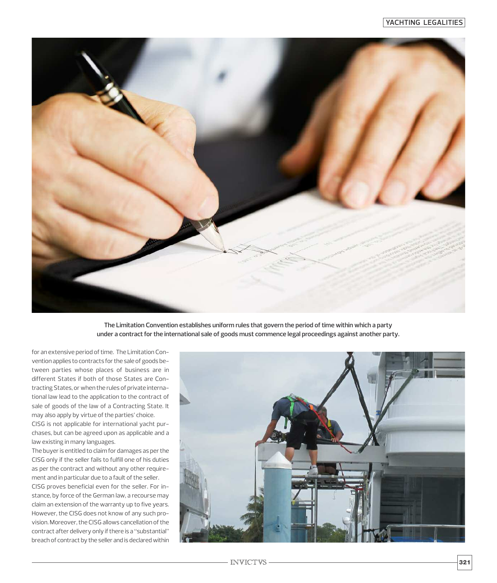

**The Limitation Convention establishes uniform rules that govern the period oftime within which a party under a contractforthe international sale of goods must commence legal proceedings against another party.**

for an extensive period of time. The Limitation Convention applies to contracts for the sale of goods between parties whose places of business are in different States if both of those States are Contracting States, or when the rules of private international law lead to the application to the contract of sale of goods of the law of a Contracting State. It may also apply by virtue of the parties' choice.

CISG is not applicable for international yacht purchases, but can be agreed upon as applicable and a law existing in many languages.

The buyer is entitled to claim for damages as per the CISG only if the seller fails to fulfill one of his duties as per the contract and without any other requirement and in particular due to a fault of the seller. CISG proves beneficial even for the seller. For instance, by force of the German law, a recourse may claim an extension of the warranty up to five years. However, the CISG does not know of any such provision. Moreover, the CISG allows cancellation of the contract after delivery only if there is a "substantial"

breach of contract by the seller and is declared within